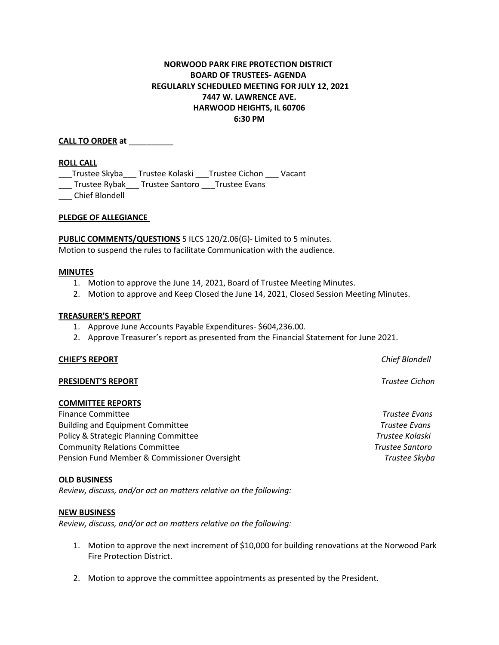# **NORWOOD PARK FIRE PROTECTION DISTRICT BOARD OF TRUSTEES- AGENDA REGULARLY SCHEDULED MEETING FOR JULY 12, 2021 7447 W. LAWRENCE AVE. HARWOOD HEIGHTS, IL 60706 6:30 PM**

**CALL TO ORDER at** \_\_\_\_\_\_\_\_\_\_

### **ROLL CALL**

\_\_\_Trustee Skyba\_\_\_ Trustee Kolaski \_\_\_Trustee Cichon \_\_\_ Vacant

\_\_\_ Trustee Rybak\_\_\_ Trustee Santoro \_\_\_Trustee Evans

\_\_\_ Chief Blondell

### **PLEDGE OF ALLEGIANCE**

**PUBLIC COMMENTS/QUESTIONS** 5 ILCS 120/2.06(G)- Limited to 5 minutes. Motion to suspend the rules to facilitate Communication with the audience.

#### **MINUTES**

- 1. Motion to approve the June 14, 2021, Board of Trustee Meeting Minutes.
- 2. Motion to approve and Keep Closed the June 14, 2021, Closed Session Meeting Minutes.

### **TREASURER'S REPORT**

- 1. Approve June Accounts Payable Expenditures- \$604,236.00.
- 2. Approve Treasurer's report as presented from the Financial Statement for June 2021.

#### **CHIEF'S REPORT** *Chief Blondell*

#### **PRESIDENT'S REPORT** *Trustee Cichon*

# **COMMITTEE REPORTS**

Finance Committee *Trustee Evans* Building and Equipment Committee *Trustee Evans* Policy & Strategic Planning Committee *Trustee Kolaski* Community Relations Committee *Trustee Santoro* Pension Fund Member & Commissioner Oversight *Trustee Skyba*

#### **OLD BUSINESS**

*Review, discuss, and/or act on matters relative on the following:*

#### **NEW BUSINESS**

*Review, discuss, and/or act on matters relative on the following:*

- 1. Motion to approve the next increment of \$10,000 for building renovations at the Norwood Park Fire Protection District.
- 2. Motion to approve the committee appointments as presented by the President.